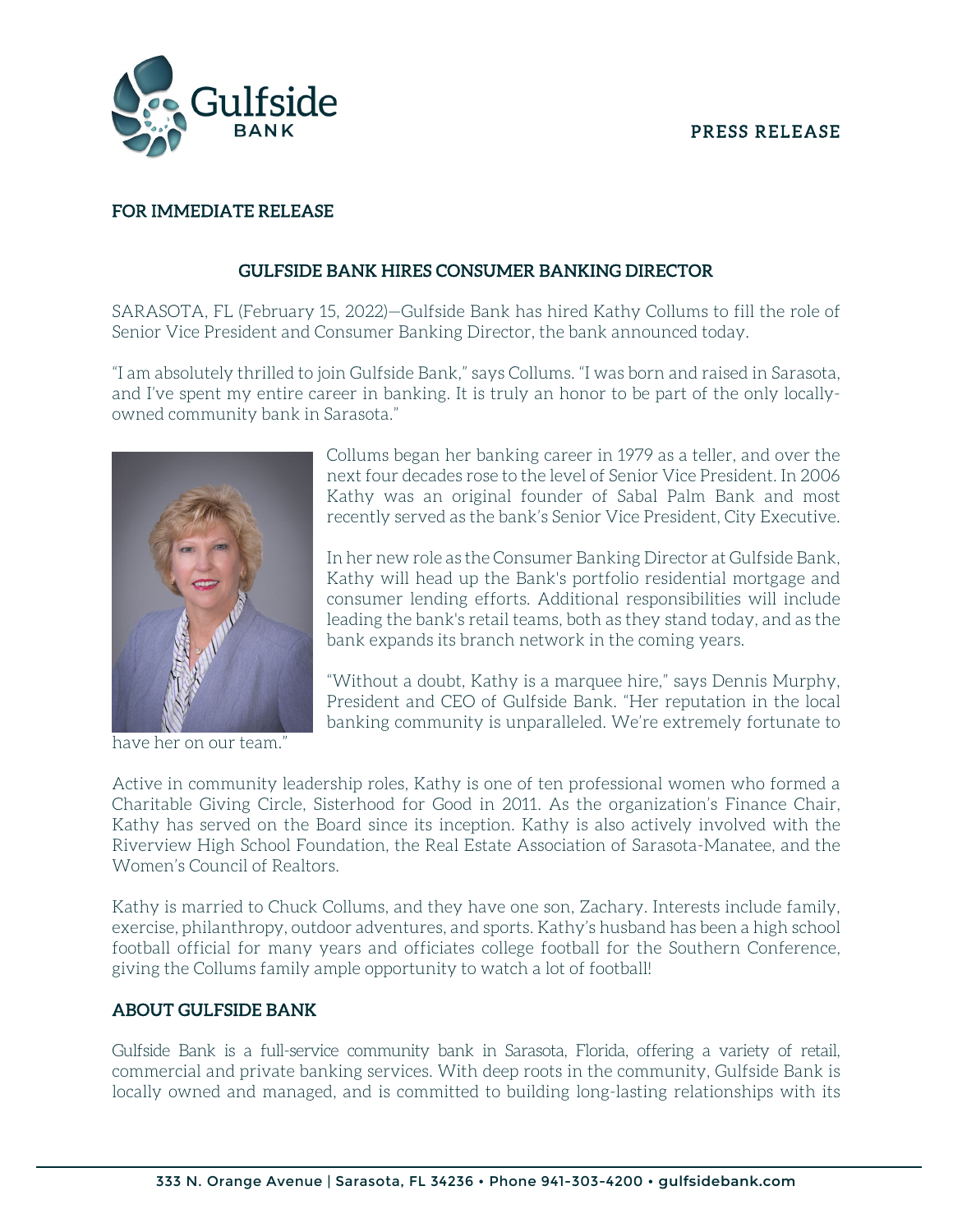### PRESS RELEASE



## FOR IMMEDIATE RELEASE

## GULFSIDE BANK HIRES CONSUMER BANKING DIRECTOR

SARASOTA, FL (February 15, 2022)—Gulfside Bank has hired Kathy Collums to fill the role of Senior Vice President and Consumer Banking Director, the bank announced today.

"I am absolutely thrilled to join Gulfside Bank," says Collums. "I was born and raised in Sarasota, and I've spent my entire career in banking. It is truly an honor to be part of the only locallyowned community bank in Sarasota."



have her on our team."

Collums began her banking career in 1979 as a teller, and over the next four decades rose to the level of Senior Vice President. In 2006 Kathy was an original founder of Sabal Palm Bank and most recently served as the bank's Senior Vice President, City Executive.

In her new role as the Consumer Banking Director at Gulfside Bank, Kathy will head up the Bank's portfolio residential mortgage and consumer lending efforts. Additional responsibilities will include leading the bank's retail teams, both as they stand today, and as the bank expands its branch network in the coming years.

 President and CEO of Gulfside Bank. "Her reputation in the local "Without a doubt, Kathy is a marquee hire," says Dennis Murphy, banking community is unparalleled. We're extremely fortunate to

Active in community leadership roles, Kathy is one of ten professional women who formed a Charitable Giving Circle, Sisterhood for Good in 2011. As the organization's Finance Chair, Kathy has served on the Board since its inception. Kathy is also actively involved with the Riverview High School Foundation, the Real Estate Association of Sarasota-Manatee, and the Women's Council of Realtors.

Kathy is married to Chuck Collums, and they have one son, Zachary. Interests include family, exercise, philanthropy, outdoor adventures, and sports. Kathy's husband has been a high school football official for many years and officiates college football for the Southern Conference, giving the Collums family ample opportunity to watch a lot of football!

#### ABOUT GULFSIDE BANK

Gulfside Bank is a full-service community bank in Sarasota, Florida, offering a variety of retail, commercial and private banking services. With deep roots in the community, Gulfside Bank is locally owned and managed, and is committed to building long-lasting relationships with its